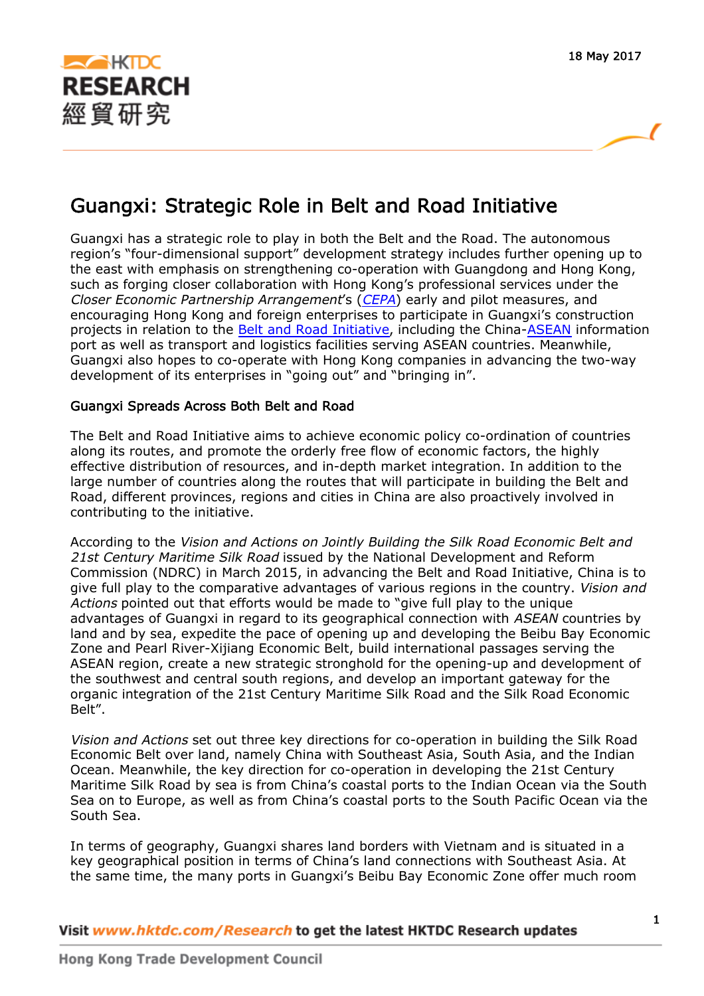

ſ

# Guangxi: Strategic Role in Belt and Road Initiative

Guangxi has a strategic role to play in both the Belt and the Road. The autonomous region's "four-dimensional support" development strategy includes further opening up to the east with emphasis on strengthening co-operation with Guangdong and Hong Kong, such as forging closer collaboration with Hong Kong's professional services under the Closer Economic Partnership Arrangement's ([CEPA](http://economists-pick-research.hktdc.com/business-news/article/Glossary/Glossary-CEPA/glossary/en/1/1X338PFI/1X09VR9I.htm)) early and pilot measures, and encouraging Hong Kong and foreign enterprises to participate in Guangxi's construction projects in relation to the [Belt and Road Initiative](http://economists-pick-research.hktdc.com/business-news/article/Glossary/Glossary-The-Belt-and-Road-Initiative/glossary/en/1/1X338PFI/1X0A314T.htm), including the China[-ASEAN](http://economists-pick-research.hktdc.com/business-news/article/Glossary/Glossary-ASEAN/glossary/en/1/1X338PFI/1X09VQBJ.htm) information port as well as transport and logistics facilities serving ASEAN countries. Meanwhile, Guangxi also hopes to co-operate with Hong Kong companies in advancing the two-way development of its enterprises in "going out" and "bringing in".

## Guangxi Spreads Across Both Belt and Road

The Belt and Road Initiative aims to achieve economic policy co-ordination of countries along its routes, and promote the orderly free flow of economic factors, the highly effective distribution of resources, and in-depth market integration. In addition to the large number of countries along the routes that will participate in building the Belt and Road, different provinces, regions and cities in China are also proactively involved in contributing to the initiative.

According to the Vision and Actions on Jointly Building the Silk Road Economic Belt and 21st Century Maritime Silk Road issued by the National Development and Reform Commission (NDRC) in March 2015, in advancing the Belt and Road Initiative, China is to give full play to the comparative advantages of various regions in the country. Vision and Actions pointed out that efforts would be made to "give full play to the unique advantages of Guangxi in regard to its geographical connection with ASEAN countries by land and by sea, expedite the pace of opening up and developing the Beibu Bay Economic Zone and Pearl River-Xijiang Economic Belt, build international passages serving the ASEAN region, create a new strategic stronghold for the opening-up and development of the southwest and central south regions, and develop an important gateway for the organic integration of the 21st Century Maritime Silk Road and the Silk Road Economic Belt".

Vision and Actions set out three key directions for co-operation in building the Silk Road Economic Belt over land, namely China with Southeast Asia, South Asia, and the Indian Ocean. Meanwhile, the key direction for co-operation in developing the 21st Century Maritime Silk Road by sea is from China's coastal ports to the Indian Ocean via the South Sea on to Europe, as well as from China's coastal ports to the South Pacific Ocean via the South Sea.

In terms of geography, Guangxi shares land borders with Vietnam and is situated in a key geographical position in terms of China's land connections with Southeast Asia. At the same time, the many ports in Guangxi's Beibu Bay Economic Zone offer much room

Visit www.hktdc.com/Research to get the latest HKTDC Research updates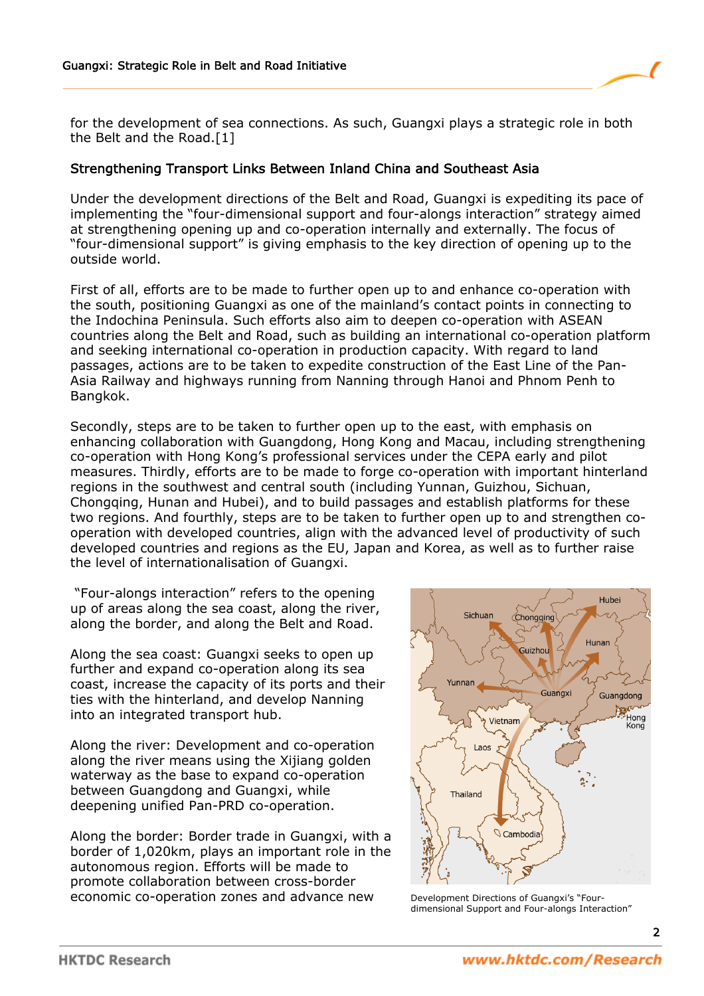

for the development of sea connections. As such, Guangxi plays a strategic role in both the Belt and the Road.[1]

### Strengthening Transport Links Between Inland China and Southeast Asia

Under the development directions of the Belt and Road, Guangxi is expediting its pace of implementing the "four-dimensional support and four-alongs interaction" strategy aimed at strengthening opening up and co-operation internally and externally. The focus of "four-dimensional support" is giving emphasis to the key direction of opening up to the outside world.

First of all, efforts are to be made to further open up to and enhance co-operation with the south, positioning Guangxi as one of the mainland's contact points in connecting to the Indochina Peninsula. Such efforts also aim to deepen co-operation with ASEAN countries along the Belt and Road, such as building an international co-operation platform and seeking international co-operation in production capacity. With regard to land passages, actions are to be taken to expedite construction of the East Line of the Pan-Asia Railway and highways running from Nanning through Hanoi and Phnom Penh to Bangkok.

Secondly, steps are to be taken to further open up to the east, with emphasis on enhancing collaboration with Guangdong, Hong Kong and Macau, including strengthening co-operation with Hong Kong's professional services under the CEPA early and pilot measures. Thirdly, efforts are to be made to forge co-operation with important hinterland regions in the southwest and central south (including Yunnan, Guizhou, Sichuan, Chongqing, Hunan and Hubei), and to build passages and establish platforms for these two regions. And fourthly, steps are to be taken to further open up to and strengthen cooperation with developed countries, align with the advanced level of productivity of such developed countries and regions as the EU, Japan and Korea, as well as to further raise the level of internationalisation of Guangxi.

 "Four-alongs interaction" refers to the opening up of areas along the sea coast, along the river, along the border, and along the Belt and Road.

Along the sea coast: Guangxi seeks to open up further and expand co-operation along its sea coast, increase the capacity of its ports and their ties with the hinterland, and develop Nanning into an integrated transport hub.

Along the river: Development and co-operation along the river means using the Xijiang golden waterway as the base to expand co-operation between Guangdong and Guangxi, while deepening unified Pan-PRD co-operation.

Along the border: Border trade in Guangxi, with a border of 1,020km, plays an important role in the autonomous region. Efforts will be made to promote collaboration between cross-border economic co-operation zones and advance new



Development Directions of Guangxi's "Fourdimensional Support and Four-alongs Interaction"

2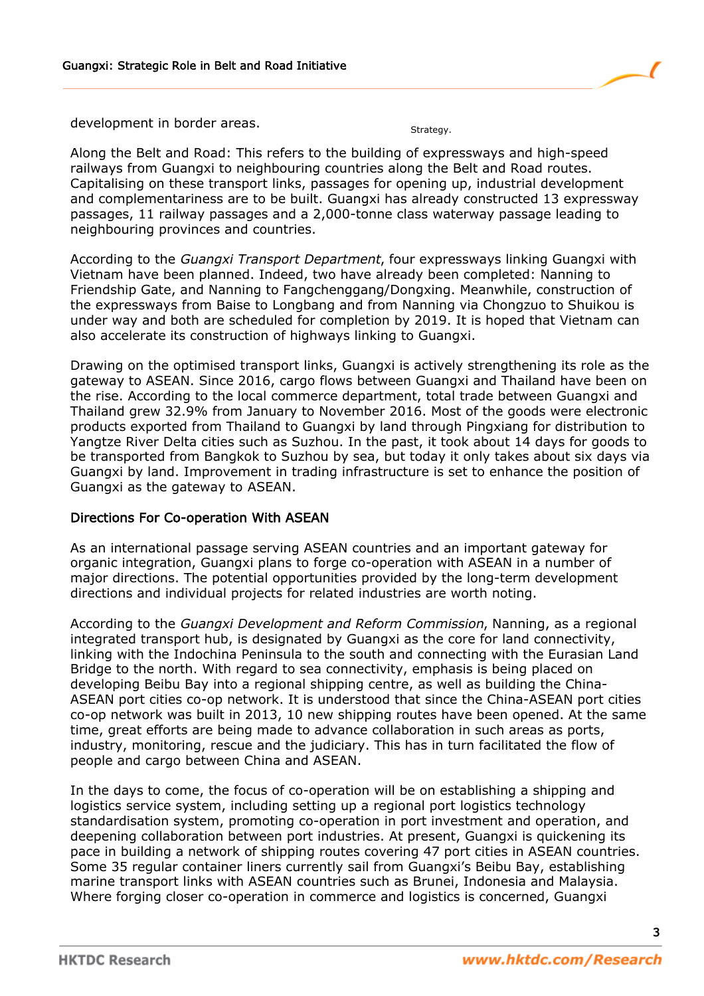development in border areas.

Along the Belt and Road: This refers to the building of expressways and high-speed railways from Guangxi to neighbouring countries along the Belt and Road routes. Capitalising on these transport links, passages for opening up, industrial development and complementariness are to be built. Guangxi has already constructed 13 expressway passages, 11 railway passages and a 2,000-tonne class waterway passage leading to neighbouring provinces and countries.

According to the Guangxi Transport Department, four expressways linking Guangxi with Vietnam have been planned. Indeed, two have already been completed: Nanning to Friendship Gate, and Nanning to Fangchenggang/Dongxing. Meanwhile, construction of the expressways from Baise to Longbang and from Nanning via Chongzuo to Shuikou is under way and both are scheduled for completion by 2019. It is hoped that Vietnam can also accelerate its construction of highways linking to Guangxi.

Drawing on the optimised transport links, Guangxi is actively strengthening its role as the gateway to ASEAN. Since 2016, cargo flows between Guangxi and Thailand have been on the rise. According to the local commerce department, total trade between Guangxi and Thailand grew 32.9% from January to November 2016. Most of the goods were electronic products exported from Thailand to Guangxi by land through Pingxiang for distribution to Yangtze River Delta cities such as Suzhou. In the past, it took about 14 days for goods to be transported from Bangkok to Suzhou by sea, but today it only takes about six days via Guangxi by land. Improvement in trading infrastructure is set to enhance the position of Guangxi as the gateway to ASEAN.

#### Directions For Co-operation With ASEAN

As an international passage serving ASEAN countries and an important gateway for organic integration, Guangxi plans to forge co-operation with ASEAN in a number of major directions. The potential opportunities provided by the long-term development directions and individual projects for related industries are worth noting.

According to the Guangxi Development and Reform Commission, Nanning, as a regional integrated transport hub, is designated by Guangxi as the core for land connectivity, linking with the Indochina Peninsula to the south and connecting with the Eurasian Land Bridge to the north. With regard to sea connectivity, emphasis is being placed on developing Beibu Bay into a regional shipping centre, as well as building the China-ASEAN port cities co-op network. It is understood that since the China-ASEAN port cities co-op network was built in 2013, 10 new shipping routes have been opened. At the same time, great efforts are being made to advance collaboration in such areas as ports, industry, monitoring, rescue and the judiciary. This has in turn facilitated the flow of people and cargo between China and ASEAN.

In the days to come, the focus of co-operation will be on establishing a shipping and logistics service system, including setting up a regional port logistics technology standardisation system, promoting co-operation in port investment and operation, and deepening collaboration between port industries. At present, Guangxi is quickening its pace in building a network of shipping routes covering 47 port cities in ASEAN countries. Some 35 regular container liners currently sail from Guangxi's Beibu Bay, establishing marine transport links with ASEAN countries such as Brunei, Indonesia and Malaysia. Where forging closer co-operation in commerce and logistics is concerned, Guangxi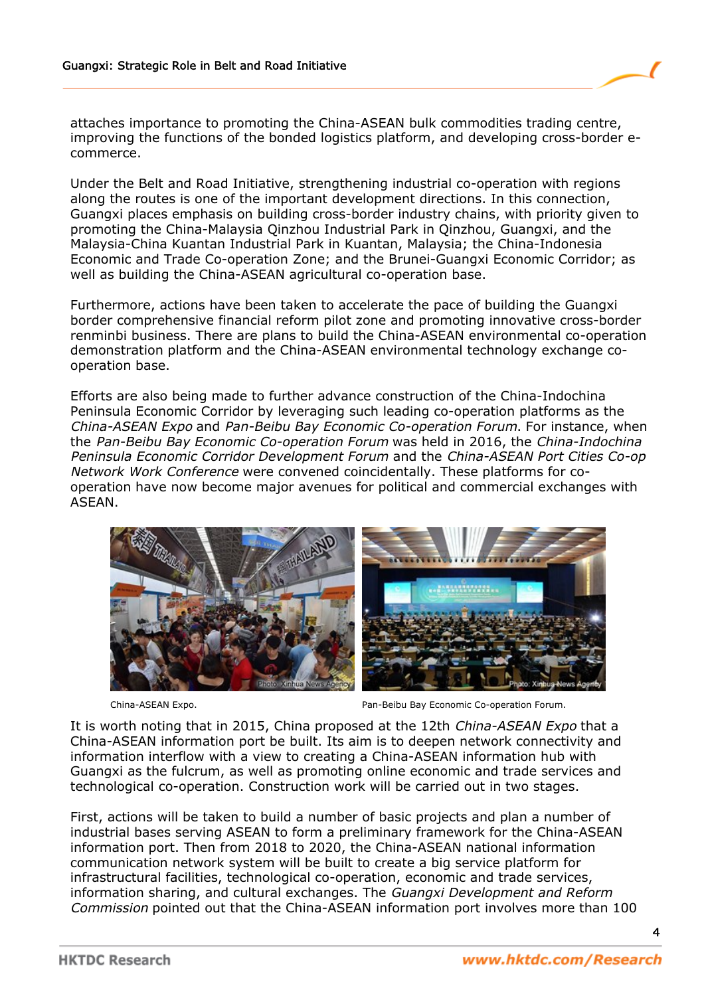

attaches importance to promoting the China-ASEAN bulk commodities trading centre, improving the functions of the bonded logistics platform, and developing cross-border ecommerce.

Under the Belt and Road Initiative, strengthening industrial co-operation with regions along the routes is one of the important development directions. In this connection, Guangxi places emphasis on building cross-border industry chains, with priority given to promoting the China-Malaysia Qinzhou Industrial Park in Qinzhou, Guangxi, and the Malaysia-China Kuantan Industrial Park in Kuantan, Malaysia; the China-Indonesia Economic and Trade Co-operation Zone; and the Brunei-Guangxi Economic Corridor; as well as building the China-ASEAN agricultural co-operation base.

Furthermore, actions have been taken to accelerate the pace of building the Guangxi border comprehensive financial reform pilot zone and promoting innovative cross-border renminbi business. There are plans to build the China-ASEAN environmental co-operation demonstration platform and the China-ASEAN environmental technology exchange cooperation base.

Efforts are also being made to further advance construction of the China-Indochina Peninsula Economic Corridor by leveraging such leading co-operation platforms as the China-ASEAN Expo and Pan-Beibu Bay Economic Co-operation Forum. For instance, when the Pan-Beibu Bay Economic Co-operation Forum was held in 2016, the China-Indochina Peninsula Economic Corridor Development Forum and the China-ASEAN Port Cities Co-op Network Work Conference were convened coincidentally. These platforms for cooperation have now become major avenues for political and commercial exchanges with ASEAN.



China-ASEAN Expo. Pan-Beibu Bay Economic Co-operation Forum.

It is worth noting that in 2015, China proposed at the 12th China-ASEAN Expo that a China-ASEAN information port be built. Its aim is to deepen network connectivity and information interflow with a view to creating a China-ASEAN information hub with Guangxi as the fulcrum, as well as promoting online economic and trade services and technological co-operation. Construction work will be carried out in two stages.

First, actions will be taken to build a number of basic projects and plan a number of industrial bases serving ASEAN to form a preliminary framework for the China-ASEAN information port. Then from 2018 to 2020, the China-ASEAN national information communication network system will be built to create a big service platform for infrastructural facilities, technological co-operation, economic and trade services, information sharing, and cultural exchanges. The Guangxi Development and Reform Commission pointed out that the China-ASEAN information port involves more than 100

4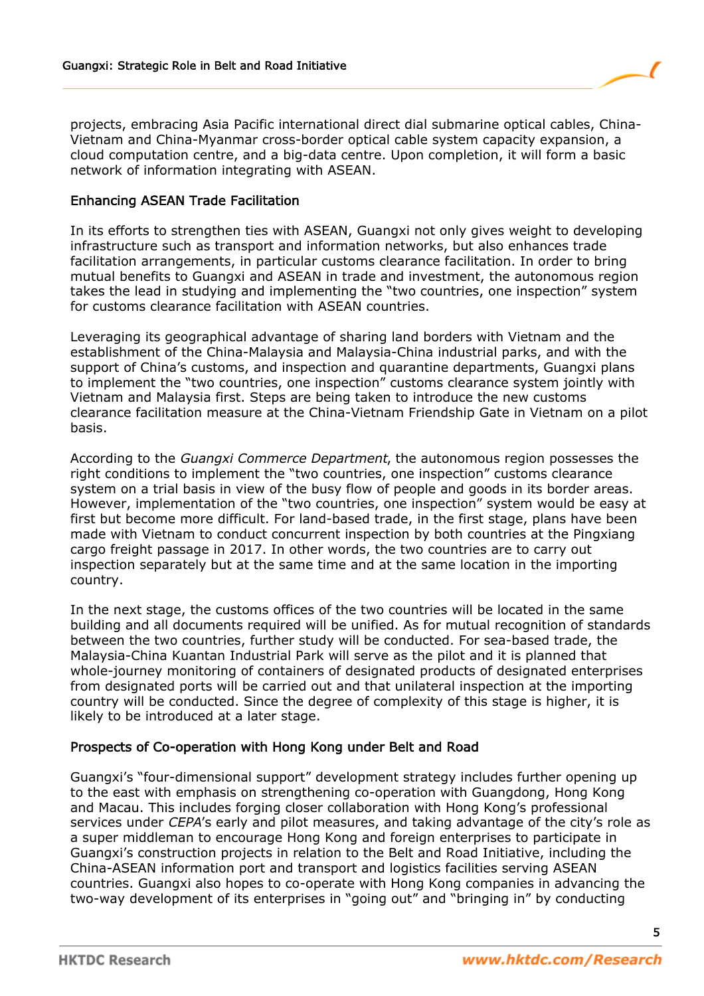projects, embracing Asia Pacific international direct dial submarine optical cables, China-Vietnam and China-Myanmar cross-border optical cable system capacity expansion, a cloud computation centre, and a big-data centre. Upon completion, it will form a basic network of information integrating with ASEAN.

## Enhancing ASEAN Trade Facilitation

In its efforts to strengthen ties with ASEAN, Guangxi not only gives weight to developing infrastructure such as transport and information networks, but also enhances trade facilitation arrangements, in particular customs clearance facilitation. In order to bring mutual benefits to Guangxi and ASEAN in trade and investment, the autonomous region takes the lead in studying and implementing the "two countries, one inspection" system for customs clearance facilitation with ASEAN countries.

Leveraging its geographical advantage of sharing land borders with Vietnam and the establishment of the China-Malaysia and Malaysia-China industrial parks, and with the support of China's customs, and inspection and quarantine departments, Guangxi plans to implement the "two countries, one inspection" customs clearance system jointly with Vietnam and Malaysia first. Steps are being taken to introduce the new customs clearance facilitation measure at the China-Vietnam Friendship Gate in Vietnam on a pilot basis.

According to the Guangxi Commerce Department, the autonomous region possesses the right conditions to implement the "two countries, one inspection" customs clearance system on a trial basis in view of the busy flow of people and goods in its border areas. However, implementation of the "two countries, one inspection" system would be easy at first but become more difficult. For land-based trade, in the first stage, plans have been made with Vietnam to conduct concurrent inspection by both countries at the Pingxiang cargo freight passage in 2017. In other words, the two countries are to carry out inspection separately but at the same time and at the same location in the importing country.

In the next stage, the customs offices of the two countries will be located in the same building and all documents required will be unified. As for mutual recognition of standards between the two countries, further study will be conducted. For sea-based trade, the Malaysia-China Kuantan Industrial Park will serve as the pilot and it is planned that whole-journey monitoring of containers of designated products of designated enterprises from designated ports will be carried out and that unilateral inspection at the importing country will be conducted. Since the degree of complexity of this stage is higher, it is likely to be introduced at a later stage.

#### Prospects of Co-operation with Hong Kong under Belt and Road

Guangxi's "four-dimensional support" development strategy includes further opening up to the east with emphasis on strengthening co-operation with Guangdong, Hong Kong and Macau. This includes forging closer collaboration with Hong Kong's professional services under CEPA's early and pilot measures, and taking advantage of the city's role as a super middleman to encourage Hong Kong and foreign enterprises to participate in Guangxi's construction projects in relation to the Belt and Road Initiative, including the China-ASEAN information port and transport and logistics facilities serving ASEAN countries. Guangxi also hopes to co-operate with Hong Kong companies in advancing the two-way development of its enterprises in "going out" and "bringing in" by conducting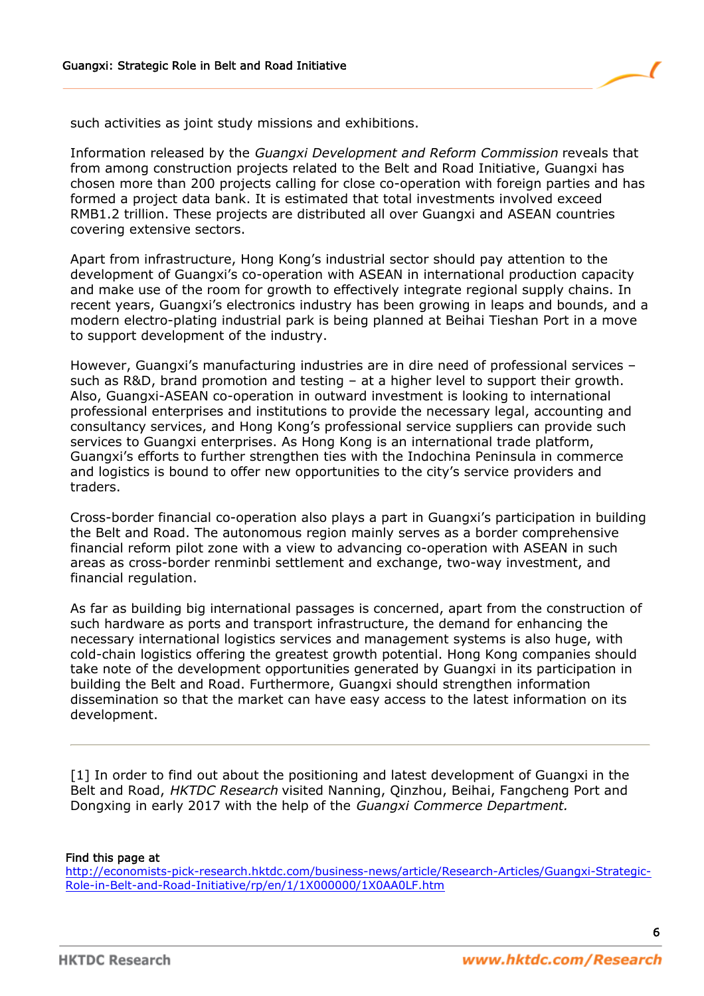

such activities as joint study missions and exhibitions.

Information released by the Guangxi Development and Reform Commission reveals that from among construction projects related to the Belt and Road Initiative, Guangxi has chosen more than 200 projects calling for close co-operation with foreign parties and has formed a project data bank. It is estimated that total investments involved exceed RMB1.2 trillion. These projects are distributed all over Guangxi and ASEAN countries covering extensive sectors.

Apart from infrastructure, Hong Kong's industrial sector should pay attention to the development of Guangxi's co-operation with ASEAN in international production capacity and make use of the room for growth to effectively integrate regional supply chains. In recent years, Guangxi's electronics industry has been growing in leaps and bounds, and a modern electro-plating industrial park is being planned at Beihai Tieshan Port in a move to support development of the industry.

However, Guangxi's manufacturing industries are in dire need of professional services – such as R&D, brand promotion and testing – at a higher level to support their growth. Also, Guangxi-ASEAN co-operation in outward investment is looking to international professional enterprises and institutions to provide the necessary legal, accounting and consultancy services, and Hong Kong's professional service suppliers can provide such services to Guangxi enterprises. As Hong Kong is an international trade platform, Guangxi's efforts to further strengthen ties with the Indochina Peninsula in commerce and logistics is bound to offer new opportunities to the city's service providers and traders.

Cross-border financial co-operation also plays a part in Guangxi's participation in building the Belt and Road. The autonomous region mainly serves as a border comprehensive financial reform pilot zone with a view to advancing co-operation with ASEAN in such areas as cross-border renminbi settlement and exchange, two-way investment, and financial regulation.

As far as building big international passages is concerned, apart from the construction of such hardware as ports and transport infrastructure, the demand for enhancing the necessary international logistics services and management systems is also huge, with cold-chain logistics offering the greatest growth potential. Hong Kong companies should take note of the development opportunities generated by Guangxi in its participation in building the Belt and Road. Furthermore, Guangxi should strengthen information dissemination so that the market can have easy access to the latest information on its development.

[1] In order to find out about the positioning and latest development of Guangxi in the Belt and Road, HKTDC Research visited Nanning, Qinzhou, Beihai, Fangcheng Port and Dongxing in early 2017 with the help of the Guangxi Commerce Department.

#### Find this page at

[http://economists-pick-research.hktdc.com/business-news/article/Research-Articles/Guangxi-Strategic-](http://economists-pick-research.hktdc.com/business-news/article/Research-Articles/Guangxi-Strategic-Role-in-Belt-and-Road-Initiative/rp/en/1/1X000000/1X0AA0LF.htm)[Role-in-Belt-and-Road-Initiative/rp/en/1/1X000000/1X0AA0LF.htm](http://economists-pick-research.hktdc.com/business-news/article/Research-Articles/Guangxi-Strategic-Role-in-Belt-and-Road-Initiative/rp/en/1/1X000000/1X0AA0LF.htm)

6